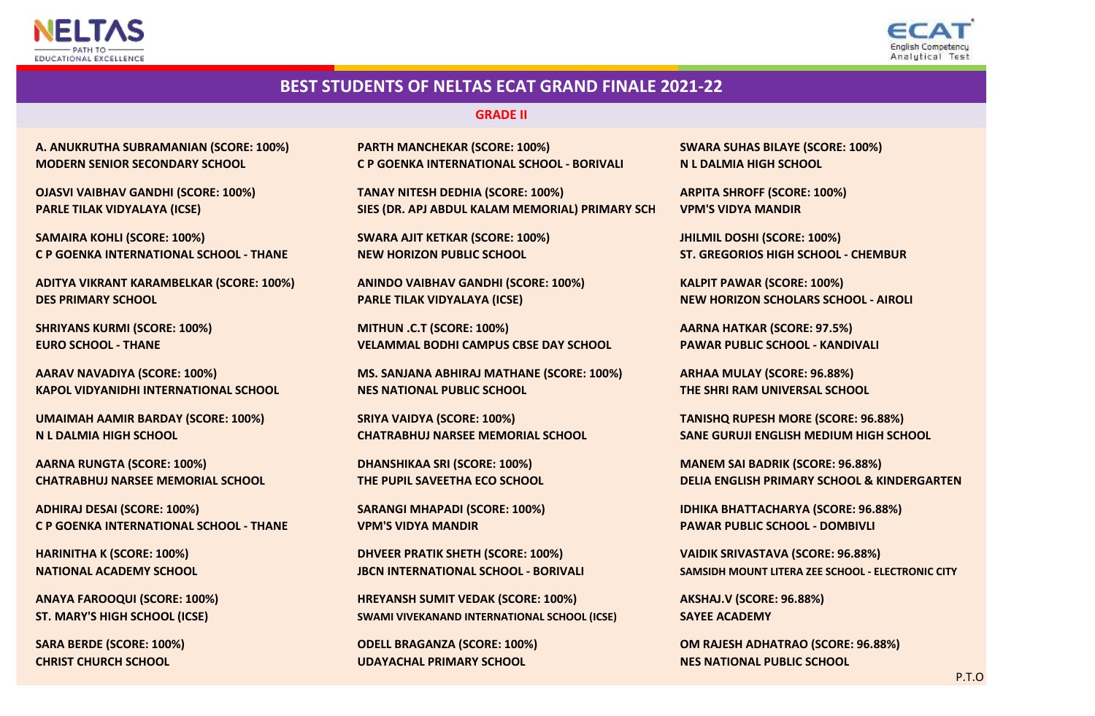



#### **GRADE II**

**A. ANUKRUTHA SUBRAMANIAN (SCORE: 100%) MODERN SENIOR SECONDARY SCHOOL**

**PARLE TILAK VIDYALAYA (ICSE) OJASVI VAIBHAV GANDHI (SCORE: 100%)**

**SAMAIRA KOHLI (SCORE: 100%) C P GOENKA INTERNATIONAL SCHOOL - THANE**

**ADITYA VIKRANT KARAMBELKAR (SCORE: 100%) DES PRIMARY SCHOOL**

**EURO SCHOOL - THANE SHRIYANS KURMI (SCORE: 100%)**

**KAPOL VIDYANIDHI INTERNATIONAL SCHOOL AARAV NAVADIYA (SCORE: 100%)**

**UMAIMAH AAMIR BARDAY (SCORE: 100%) N L DALMIA HIGH SCHOOL**

**AARNA RUNGTA (SCORE: 100%) CHATRABHUJ NARSEE MEMORIAL SCHOOL**

**ADHIRAJ DESAI (SCORE: 100%) C P GOENKA INTERNATIONAL SCHOOL - THANE**

**HARINITHA K (SCORE: 100%) NATIONAL ACADEMY SCHOOL**

**ANAYA FAROOQUI (SCORE: 100%) ST. MARY'S HIGH SCHOOL (ICSE)**

**PARTH MANCHEKAR (SCORE: 100%) C P GOENKA INTERNATIONAL SCHOOL - BORIVALI**

**SIES (DR. APJ ABDUL KALAM MEMORIAL) PRIMARY SCH TANAY NITESH DEDHIA (SCORE: 100%)**

**SWARA AJIT KETKAR (SCORE: 100%) NEW HORIZON PUBLIC SCHOOL**

**ANINDO VAIBHAV GANDHI (SCORE: 100%) KALPIT PAWAR (SCORE: 100%) PARLE TILAK VIDYALAYA (ICSE)**

**VELAMMAL BODHI CAMPUS CBSE DAY SCHOOL MITHUN .C.T (SCORE: 100%)**

**MS. SANJANA ABHIRAJ MATHANE (SCORE: 100%) NES NATIONAL PUBLIC SCHOOL**

**CHATRABHUJ NARSEE MEMORIAL SCHOOL SRIYA VAIDYA (SCORE: 100%)**

**DHANSHIKAA SRI (SCORE: 100%) THE PUPIL SAVEETHA ECO SCHOOL**

**SARANGI MHAPADI (SCORE: 100%) VPM'S VIDYA MANDIR**

**DHVEER PRATIK SHETH (SCORE: 100%)**

**SWAMI VIVEKANAND INTERNATIONAL SCHOOL (ICSE) SAYEE ACADEMY HREYANSH SUMIT VEDAK (SCORE: 100%) AKSHAJ.V (SCORE: 96.88%)**

**CHRIST CHURCH SCHOOL UDAYACHAL PRIMARY SCHOOL NES NATIONAL PUBLIC SCHOOL**

**N L DALMIA HIGH SCHOOL SWARA SUHAS BILAYE (SCORE: 100%)**

**ARPITA SHROFF (SCORE: 100%) VPM'S VIDYA MANDIR**

**JHILMIL DOSHI (SCORE: 100%) ST. GREGORIOS HIGH SCHOOL - CHEMBUR**

**NEW HORIZON SCHOLARS SCHOOL - AIROLI**

**AARNA HATKAR (SCORE: 97.5%) PAWAR PUBLIC SCHOOL - KANDIVALI**

**ARHAA MULAY (SCORE: 96.88%) THE SHRI RAM UNIVERSAL SCHOOL**

**SANE GURUJI ENGLISH MEDIUM HIGH SCHOOL TANISHQ RUPESH MORE (SCORE: 96.88%)**

**MANEM SAI BADRIK (SCORE: 96.88%) DELIA ENGLISH PRIMARY SCHOOL & KINDERGARTEN**

**IDHIKA BHATTACHARYA (SCORE: 96.88%) PAWAR PUBLIC SCHOOL - DOMBIVLI**

**JBCN INTERNATIONAL SCHOOL - BORIVALI SAMSIDH MOUNT LITERA ZEE SCHOOL - ELECTRONIC CITY VAIDIK SRIVASTAVA (SCORE: 96.88%)**

**SARA BERDE (SCORE: 100%) ODELL BRAGANZA (SCORE: 100%) OM RAJESH ADHATRAO (SCORE: 96.88%)**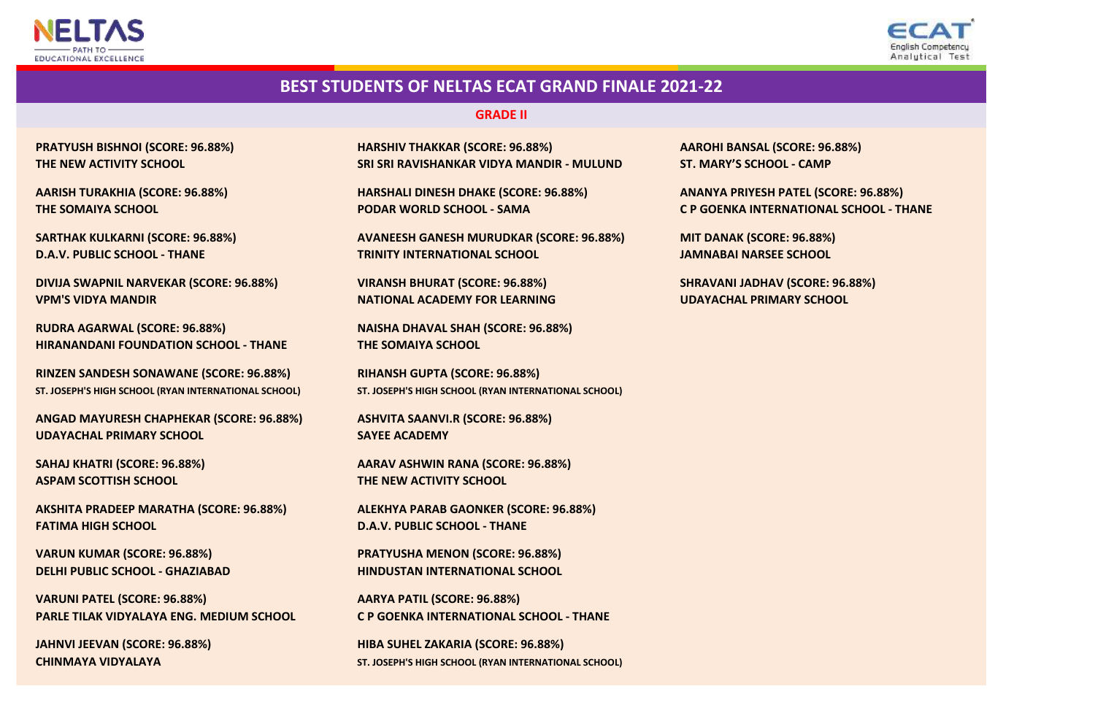



#### **GRADE II**

**THE SOMAIYA SCHOOL PODAR WORLD SCHOOL - SAMA**

**DIVIJA SWAPNIL NARVEKAR (SCORE: 96.88%) VIRANSH BHURAT (SCORE: 96.88%) VPM'S VIDYA MANDIR NATIONAL ACADEMY FOR LEARNING**

**RUDRA AGARWAL (SCORE: 96.88%) NAISHA DHAVAL SHAH (SCORE: 96.88%) HIRANANDANI FOUNDATION SCHOOL - THANE THE SOMAIYA SCHOOL**

**ST. JOSEPH'S HIGH SCHOOL (RYAN INTERNATIONAL SCHOOL) ST. JOSEPH'S HIGH SCHOOL (RYAN INTERNATIONAL SCHOOL) RINZEN SANDESH SONAWANE (SCORE: 96.88%)**

**UDAYACHAL PRIMARY SCHOOL SAYEE ACADEMY ANGAD MAYURESH CHAPHEKAR (SCORE: 96.88%) ASHVITA SAANVI.R (SCORE: 96.88%)**

**ASPAM SCOTTISH SCHOOL THE NEW ACTIVITY SCHOOL**

**AKSHITA PRADEEP MARATHA (SCORE: 96.88%) ALEKHYA PARAB GAONKER (SCORE: 96.88%) FATIMA HIGH SCHOOL D.A.V. PUBLIC SCHOOL - THANE**

**VARUNI PATEL (SCORE: 96.88%) AARYA PATIL (SCORE: 96.88%)**

**PRATYUSH BISHNOI (SCORE: 96.88%) HARSHIV THAKKAR (SCORE: 96.88%) AAROHI BANSAL (SCORE: 96.88%) THE NEW ACTIVITY SCHOOL SRI SRI RAVISHANKAR VIDYA MANDIR - MULUND ST. MARY'S SCHOOL - CAMP**

**AARISH TURAKHIA (SCORE: 96.88%) HARSHALI DINESH DHAKE (SCORE: 96.88%)**

**D.A.V. PUBLIC SCHOOL - THANE TRINITY INTERNATIONAL SCHOOL JAMNABAI NARSEE SCHOOL SARTHAK KULKARNI (SCORE: 96.88%) AVANEESH GANESH MURUDKAR (SCORE: 96.88%) MIT DANAK (SCORE: 96.88%)**

**RIHANSH GUPTA (SCORE: 96.88%)**

**SAHAJ KHATRI (SCORE: 96.88%) AARAV ASHWIN RANA (SCORE: 96.88%)**

**VARUN KUMAR (SCORE: 96.88%) PRATYUSHA MENON (SCORE: 96.88%) DELHI PUBLIC SCHOOL - GHAZIABAD HINDUSTAN INTERNATIONAL SCHOOL**

**PARLE TILAK VIDYALAYA ENG. MEDIUM SCHOOL C P GOENKA INTERNATIONAL SCHOOL - THANE**

**JAHNVI JEEVAN (SCORE: 96.88%) HIBA SUHEL ZAKARIA (SCORE: 96.88%) CHINMAYA VIDYALAYA ST. JOSEPH'S HIGH SCHOOL (RYAN INTERNATIONAL SCHOOL)**

**ANANYA PRIYESH PATEL (SCORE: 96.88%) C P GOENKA INTERNATIONAL SCHOOL - THANE**

**SHRAVANI JADHAV (SCORE: 96.88%) UDAYACHAL PRIMARY SCHOOL**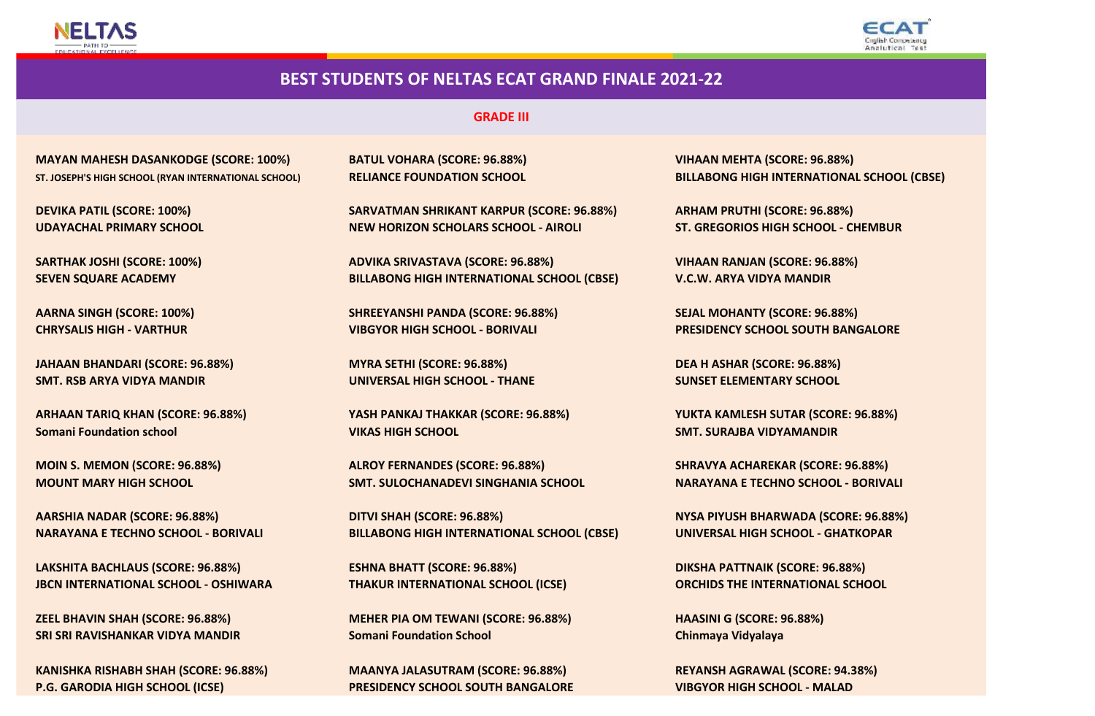



#### **GRADE III**

**MAYAN MAHESH DASANKODGE (SCORE: 100%) BATUL VOHARA (SCORE: 96.88%) ST. JOSEPH'S HIGH SCHOOL (RYAN INTERNATIONAL SCHOOL) RELIANCE FOUNDATION SCHOOL**

**DEVIKA PATIL (SCORE: 100%)**

**SARTHAK JOSHI (SCORE: 100%)**

**JAHAAN BHANDARI (SCORE: 96.88%) MYRA SETHI (SCORE: 96.88%) SMT. RSB ARYA VIDYA MANDIR UNIVERSAL HIGH SCHOOL - THANE**

**MOIN S. MEMON (SCORE: 96.88%) ALROY FERNANDES (SCORE: 96.88%)**

**LAKSHITA BACHLAUS (SCORE: 96.88%) ESHNA BHATT (SCORE: 96.88%) JBCN INTERNATIONAL SCHOOL - OSHIWARA THAKUR INTERNATIONAL SCHOOL (ICSE)**

**KANISHKA RISHABH SHAH (SCORE: 96.88%) P.G. GARODIA HIGH SCHOOL (ICSE)**

**SARVATMAN SHRIKANT KARPUR (SCORE: 96.88%) UDAYACHAL PRIMARY SCHOOL NEW HORIZON SCHOLARS SCHOOL - AIROLI**

**SEVEN SQUARE ACADEMY BILLABONG HIGH INTERNATIONAL SCHOOL (CBSE) ADVIKA SRIVASTAVA (SCORE: 96.88%)**

**AARNA SINGH (SCORE: 100%) SHREEYANSHI PANDA (SCORE: 96.88%) SEJAL MOHANTY (SCORE: 96.88%) CHRYSALIS HIGH - VARTHUR VIBGYOR HIGH SCHOOL - BORIVALI**

**Somani Foundation school VIKAS HIGH SCHOOL SMT. SURAJBA VIDYAMANDIR ARHAAN TARIQ KHAN (SCORE: 96.88%) YASH PANKAJ THAKKAR (SCORE: 96.88%)**

**MOUNT MARY HIGH SCHOOL SMT. SULOCHANADEVI SINGHANIA SCHOOL**

**AARSHIA NADAR (SCORE: 96.88%) DITVI SHAH (SCORE: 96.88%) NYSA PIYUSH BHARWADA (SCORE: 96.88%) NARAYANA E TECHNO SCHOOL - BORIVALI BILLABONG HIGH INTERNATIONAL SCHOOL (CBSE)**

**SRI SRI RAVISHANKAR VIDYA MANDIR Somani Foundation School Chinmaya Vidyalaya ZEEL BHAVIN SHAH (SCORE: 96.88%) MEHER PIA OM TEWANI (SCORE: 96.88%)**

> **MAANYA JALASUTRAM (SCORE: 96.88%) PRESIDENCY SCHOOL SOUTH BANGALORE**

**VIHAAN MEHTA (SCORE: 96.88%) BILLABONG HIGH INTERNATIONAL SCHOOL (CBSE)**

**ARHAM PRUTHI (SCORE: 96.88%) ST. GREGORIOS HIGH SCHOOL - CHEMBUR**

**VIHAAN RANJAN (SCORE: 96.88%) V.C.W. ARYA VIDYA MANDIR**

**PRESIDENCY SCHOOL SOUTH BANGALORE**

**DEA H ASHAR (SCORE: 96.88%) SUNSET ELEMENTARY SCHOOL**

**YUKTA KAMLESH SUTAR (SCORE: 96.88%)**

**SHRAVYA ACHAREKAR (SCORE: 96.88%) NARAYANA E TECHNO SCHOOL - BORIVALI**

**UNIVERSAL HIGH SCHOOL - GHATKOPAR**

**DIKSHA PATTNAIK (SCORE: 96.88%) ORCHIDS THE INTERNATIONAL SCHOOL**

**HAASINI G (SCORE: 96.88%)**

**REYANSH AGRAWAL (SCORE: 94.38%) VIBGYOR HIGH SCHOOL - MALAD**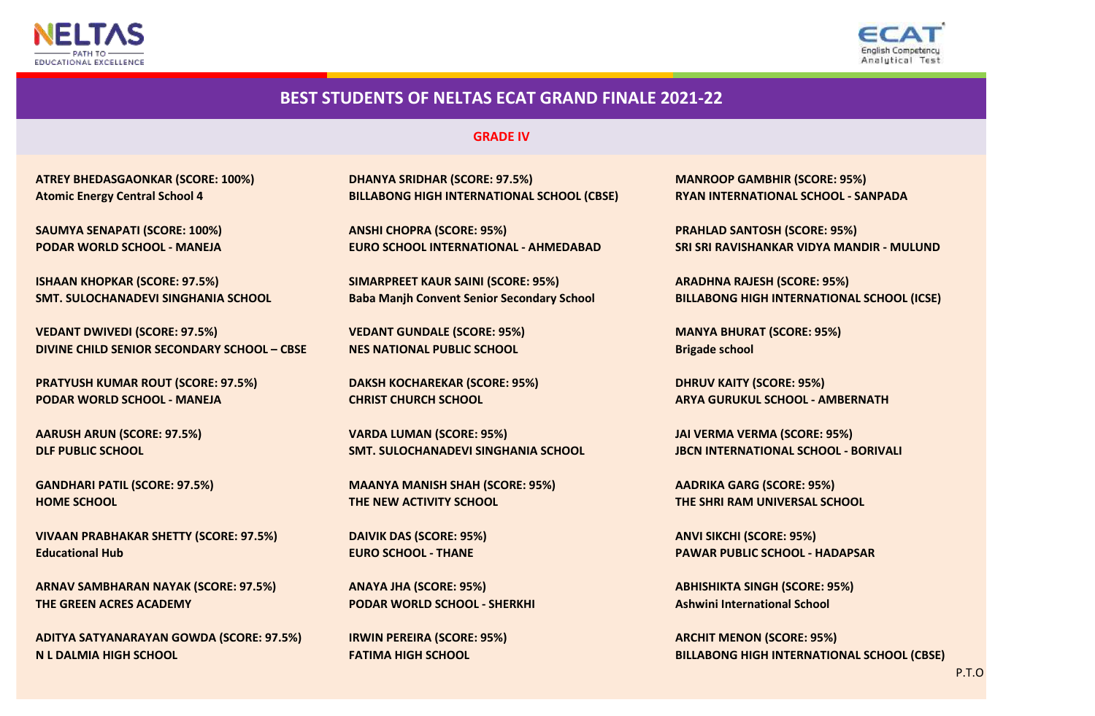



#### **GRADE IV**

**ISHAAN KHOPKAR (SCORE: 97.5%) SIMARPREET KAUR SAINI (SCORE: 95%) ARADHNA RAJESH (SCORE: 95%)**

**DIVINE CHILD SENIOR SECONDARY SCHOOL – CBSE NES NATIONAL PUBLIC SCHOOL Brigade school VEDANT DWIVEDI (SCORE: 97.5%) VEDANT GUNDALE (SCORE: 95%) MANYA BHURAT (SCORE: 95%)**

**PRATYUSH KUMAR ROUT (SCORE: 97.5%) DAKSH KOCHAREKAR (SCORE: 95%) DHRUV KAITY (SCORE: 95%) PODAR WORLD SCHOOL - MANEJA CHRIST CHURCH SCHOOL ARYA GURUKUL SCHOOL - AMBERNATH**

**Educational Hub EURO SCHOOL - THANE PAWAR PUBLIC SCHOOL - HADAPSAR VIVAAN PRABHAKAR SHETTY (SCORE: 97.5%) DAIVIK DAS (SCORE: 95%) ANVI SIKCHI (SCORE: 95%)**

**ARNAV SAMBHARAN NAYAK (SCORE: 97.5%) ANAYA JHA (SCORE: 95%) ABHISHIKTA SINGH (SCORE: 95%) THE GREEN ACRES ACADEMY PODAR WORLD SCHOOL - SHERKHI Ashwini International School**

**ADITYA SATYANARAYAN GOWDA (SCORE: 97.5%) IRWIN PEREIRA (SCORE: 95%) ARCHIT MENON (SCORE: 95%)**

**ATREY BHEDASGAONKAR (SCORE: 100%) DHANYA SRIDHAR (SCORE: 97.5%) MANROOP GAMBHIR (SCORE: 95%) Atomic Energy Central School 4 BILLABONG HIGH INTERNATIONAL SCHOOL (CBSE) RYAN INTERNATIONAL SCHOOL - SANPADA**

**SAUMYA SENAPATI (SCORE: 100%) ANSHI CHOPRA (SCORE: 95%) PRAHLAD SANTOSH (SCORE: 95%)**

**AARUSH ARUN (SCORE: 97.5%) VARDA LUMAN (SCORE: 95%) JAI VERMA VERMA (SCORE: 95%) DLF PUBLIC SCHOOL SMT. SULOCHANADEVI SINGHANIA SCHOOL JBCN INTERNATIONAL SCHOOL - BORIVALI**

**GANDHARI PATIL (SCORE: 97.5%) MAANYA MANISH SHAH (SCORE: 95%) AADRIKA GARG (SCORE: 95%) HOME SCHOOL THE NEW ACTIVITY SCHOOL THE SHRI RAM UNIVERSAL SCHOOL**

**PODAR WORLD SCHOOL - MANEJA EURO SCHOOL INTERNATIONAL - AHMEDABAD SRI SRI RAVISHANKAR VIDYA MANDIR - MULUND**

**SMT. SULOCHANADEVI SINGHANIA SCHOOL Baba Manjh Convent Senior Secondary School BILLABONG HIGH INTERNATIONAL SCHOOL (ICSE)**

**N L DALMIA HIGH SCHOOL FATIMA HIGH SCHOOL BILLABONG HIGH INTERNATIONAL SCHOOL (CBSE)**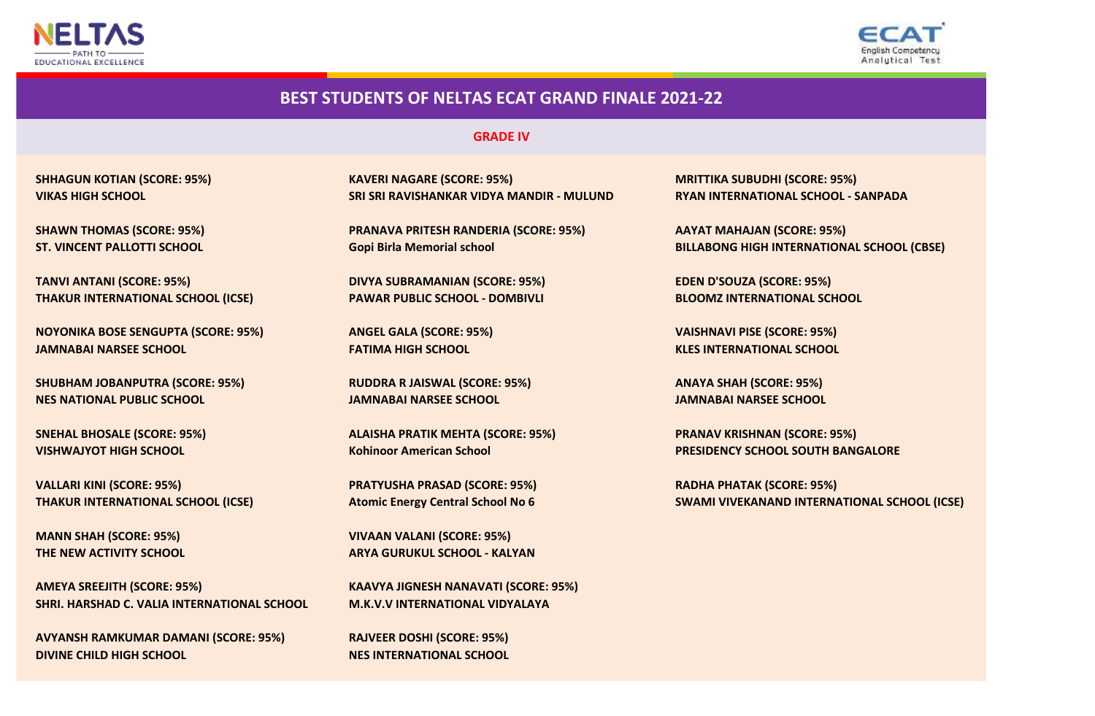



#### **GRADE IV**

**TANVI ANTANI (SCORE: 95%) DIVYA SUBRAMANIAN (SCORE: 95%) EDEN D'SOUZA (SCORE: 95%) THAKUR INTERNATIONAL SCHOOL (ICSE) PAWAR PUBLIC SCHOOL - DOMBIVLI BLOOMZ INTERNATIONAL SCHOOL**

**NOYONIKA BOSE SENGUPTA (SCORE: 95%) ANGEL GALA (SCORE: 95%) VAISHNAVI PISE (SCORE: 95%) JAMNABAI NARSEE SCHOOL FATIMA HIGH SCHOOL KLES INTERNATIONAL SCHOOL**

**SHUBHAM JOBANPUTRA (SCORE: 95%) RUDDRA R JAISWAL (SCORE: 95%) ANAYA SHAH (SCORE: 95%) NES NATIONAL PUBLIC SCHOOL JAMNABAI NARSEE SCHOOL JAMNABAI NARSEE SCHOOL**

**VALLARI KINI (SCORE: 95%) PRATYUSHA PRASAD (SCORE: 95%) RADHA PHATAK (SCORE: 95%)**

**AMEYA SREEJITH (SCORE: 95%) KAAVYA JIGNESH NANAVATI (SCORE: 95%) SHRI. HARSHAD C. VALIA INTERNATIONAL SCHOOL M.K.V.V INTERNATIONAL VIDYALAYA**

**DIVINE CHILD HIGH SCHOOL NES INTERNATIONAL SCHOOL AVYANSH RAMKUMAR DAMANI (SCORE: 95%) RAJVEER DOSHI (SCORE: 95%)**

**SHHAGUN KOTIAN (SCORE: 95%) KAVERI NAGARE (SCORE: 95%) MRITTIKA SUBUDHI (SCORE: 95%) VIKAS HIGH SCHOOL SRI SRI RAVISHANKAR VIDYA MANDIR - MULUND RYAN INTERNATIONAL SCHOOL - SANPADA**

**SHAWN THOMAS (SCORE: 95%) PRANAVA PRITESH RANDERIA (SCORE: 95%) AAYAT MAHAJAN (SCORE: 95%)**

**SNEHAL BHOSALE (SCORE: 95%) ALAISHA PRATIK MEHTA (SCORE: 95%) PRANAV KRISHNAN (SCORE: 95%)**

**MANN SHAH (SCORE: 95%) VIVAAN VALANI (SCORE: 95%) THE NEW ACTIVITY SCHOOL ARYA GURUKUL SCHOOL - KALYAN**

**ST. VINCENT PALLOTTI SCHOOL Gopi Birla Memorial school BILLABONG HIGH INTERNATIONAL SCHOOL (CBSE)**

**VISHWAJYOT HIGH SCHOOL Kohinoor American School PRESIDENCY SCHOOL SOUTH BANGALORE**

**THAKUR INTERNATIONAL SCHOOL (ICSE) Atomic Energy Central School No 6 SWAMI VIVEKANAND INTERNATIONAL SCHOOL (ICSE)**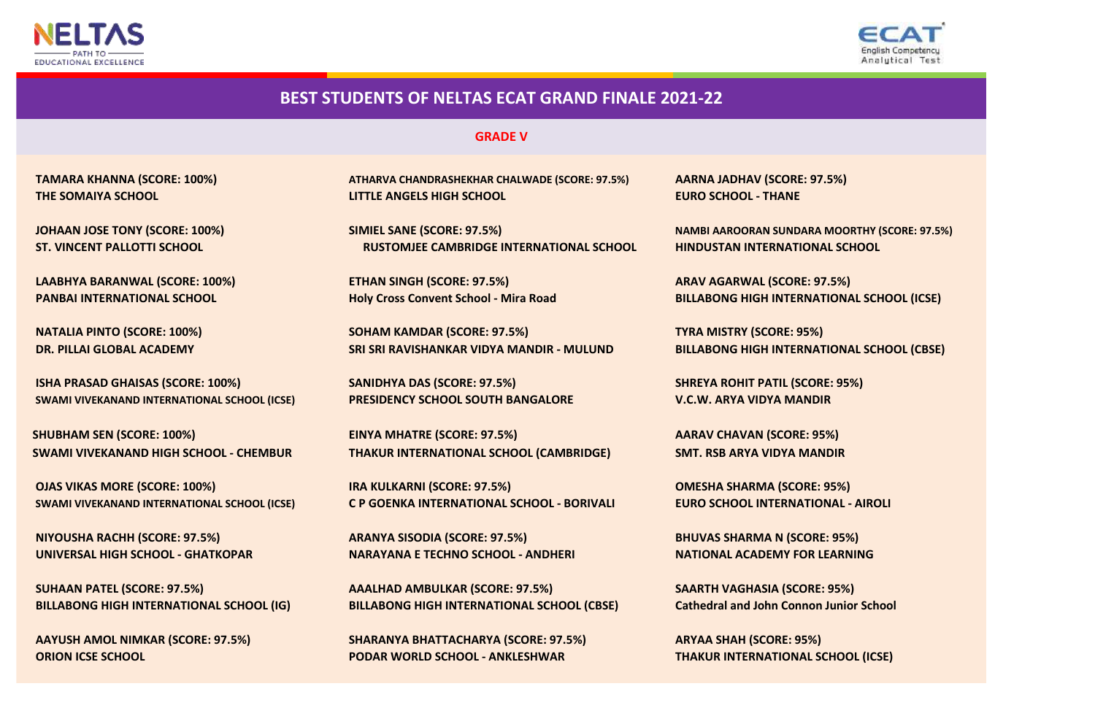



**GRADE V**

**LAABHYA BARANWAL (SCORE: 100%) ETHAN SINGH (SCORE: 97.5%) ARAV AGARWAL (SCORE: 97.5%)**

**NATALIA PINTO (SCORE: 100%) SOHAM KAMDAR (SCORE: 97.5%)**

**SWAMI VIVEKANAND INTERNATIONAL SCHOOL (ICSE) PRESIDENCY SCHOOL SOUTH BANGALORE V.C.W. ARYA VIDYA MANDIR ISHA PRASAD GHAISAS (SCORE: 100%) SANIDHYA DAS (SCORE: 97.5%)**

 **SHUBHAM SEN (SCORE: 100%) SWAMI VIVEKANAND HIGH SCHOOL - CHEMBUR**

**NIYOUSHA RACHH (SCORE: 97.5%)**

**AAYUSH AMOL NIMKAR (SCORE: 97.5%)**

**THE SOMAIYA SCHOOL LITTLE ANGELS HIGH SCHOOL EURO SCHOOL - THANE TAMARA KHANNA (SCORE: 100%) ATHARVA CHANDRASHEKHAR CHALWADE (SCORE: 97.5%) AARNA JADHAV (SCORE: 97.5%)**

**JOHAAN JOSE TONY (SCORE: 100%) SIMIEL SANE (SCORE: 97.5%) NAMBI AAROORAN SUNDARA MOORTHY (SCORE: 97.5%) ST. VINCENT PALLOTTI SCHOOL RUSTOMJEE CAMBRIDGE INTERNATIONAL SCHOOL HINDUSTAN INTERNATIONAL SCHOOL**

**DR. PILLAI GLOBAL ACADEMY SRI SRI RAVISHANKAR VIDYA MANDIR - MULUND**

**EINYA MHATRE (SCORE: 97.5%) THAKUR INTERNATIONAL SCHOOL (CAMBRIDGE)**

**OJAS VIKAS MORE (SCORE: 100%) IRA KULKARNI (SCORE: 97.5%) OMESHA SHARMA (SCORE: 95%) SWAMI VIVEKANAND INTERNATIONAL SCHOOL (ICSE) C P GOENKA INTERNATIONAL SCHOOL - BORIVALI EURO SCHOOL INTERNATIONAL - AIROLI**

**ARANYA SISODIA (SCORE: 97.5%) BHUVAS SHARMA N (SCORE: 95%) UNIVERSAL HIGH SCHOOL - GHATKOPAR NARAYANA E TECHNO SCHOOL - ANDHERI NATIONAL ACADEMY FOR LEARNING**

**SUHAAN PATEL (SCORE: 97.5%) AAALHAD AMBULKAR (SCORE: 97.5%) SAARTH VAGHASIA (SCORE: 95%) BILLABONG HIGH INTERNATIONAL SCHOOL (IG) BILLABONG HIGH INTERNATIONAL SCHOOL (CBSE) Cathedral and John Connon Junior School**

**SHARANYA BHATTACHARYA (SCORE: 97.5%) ORION ICSE SCHOOL PODAR WORLD SCHOOL - ANKLESHWAR THAKUR INTERNATIONAL SCHOOL (ICSE)**

**PANBAI INTERNATIONAL SCHOOL Holy Cross Convent School - Mira Road BILLABONG HIGH INTERNATIONAL SCHOOL (ICSE)**

**TYRA MISTRY (SCORE: 95%) BILLABONG HIGH INTERNATIONAL SCHOOL (CBSE)**

**SHREYA ROHIT PATIL (SCORE: 95%)**

**AARAV CHAVAN (SCORE: 95%) SMT. RSB ARYA VIDYA MANDIR**

**ARYAA SHAH (SCORE: 95%)**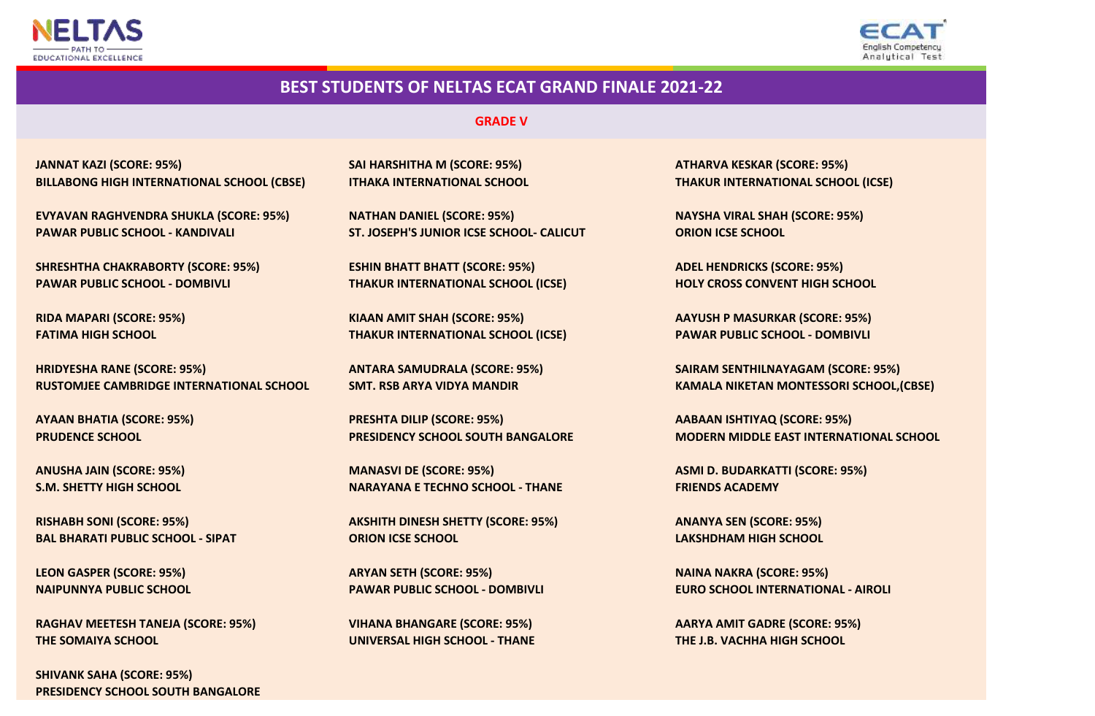



#### **GRADE V**

**BILLABONG HIGH INTERNATIONAL SCHOOL (CBSE) ITHAKA INTERNATIONAL SCHOOL THAKUR INTERNATIONAL SCHOOL (ICSE) JANNAT KAZI (SCORE: 95%) SAI HARSHITHA M (SCORE: 95%) ATHARVA KESKAR (SCORE: 95%)**

**EVYAVAN RAGHVENDRA SHUKLA (SCORE: 95%) NATHAN DANIEL (SCORE: 95%) NAYSHA VIRAL SHAH (SCORE: 95%) PAWAR PUBLIC SCHOOL - KANDIVALI ST. JOSEPH'S JUNIOR ICSE SCHOOL- CALICUT ORION ICSE SCHOOL**

**PAWAR PUBLIC SCHOOL - DOMBIVLI THAKUR INTERNATIONAL SCHOOL (ICSE) HOLY CROSS CONVENT HIGH SCHOOL SHRESHTHA CHAKRABORTY (SCORE: 95%) ESHIN BHATT BHATT (SCORE: 95%) ADEL HENDRICKS (SCORE: 95%)**

**RUSTOMJEE CAMBRIDGE INTERNATIONAL SCHOOL SMT. RSB ARYA VIDYA MANDIR KAMALA NIKETAN MONTESSORI SCHOOL,(CBSE) HRIDYESHA RANE (SCORE: 95%) ANTARA SAMUDRALA (SCORE: 95%) SAIRAM SENTHILNAYAGAM (SCORE: 95%)**

**RAGHAV MEETESH TANEJA (SCORE: 95%) VIHANA BHANGARE (SCORE: 95%) AARYA AMIT GADRE (SCORE: 95%) THE SOMAIYA SCHOOL UNIVERSAL HIGH SCHOOL - THANE THE J.B. VACHHA HIGH SCHOOL**

**PRESIDENCY SCHOOL SOUTH BANGALORE SHIVANK SAHA (SCORE: 95%)**

**RIDA MAPARI (SCORE: 95%) KIAAN AMIT SHAH (SCORE: 95%) AAYUSH P MASURKAR (SCORE: 95%) FATIMA HIGH SCHOOL THAKUR INTERNATIONAL SCHOOL (ICSE) PAWAR PUBLIC SCHOOL - DOMBIVLI**

 **AYAAN BHATIA (SCORE: 95%) PRESHTA DILIP (SCORE: 95%) AABAAN ISHTIYAQ (SCORE: 95%)**

**S.M. SHETTY HIGH SCHOOL NARAYANA E TECHNO SCHOOL - THANE FRIENDS ACADEMY ANUSHA JAIN (SCORE: 95%) MANASVI DE (SCORE: 95%) ASMI D. BUDARKATTI (SCORE: 95%)**

**RISHABH SONI (SCORE: 95%) AKSHITH DINESH SHETTY (SCORE: 95%) ANANYA SEN (SCORE: 95%) BAL BHARATI PUBLIC SCHOOL - SIPAT ORION ICSE SCHOOL LAKSHDHAM HIGH SCHOOL**

**LEON GASPER (SCORE: 95%) ARYAN SETH (SCORE: 95%) NAINA NAKRA (SCORE: 95%)**

 **PRUDENCE SCHOOL PRESIDENCY SCHOOL SOUTH BANGALORE MODERN MIDDLE EAST INTERNATIONAL SCHOOL**

**NAIPUNNYA PUBLIC SCHOOL PAWAR PUBLIC SCHOOL - DOMBIVLI EURO SCHOOL INTERNATIONAL - AIROLI**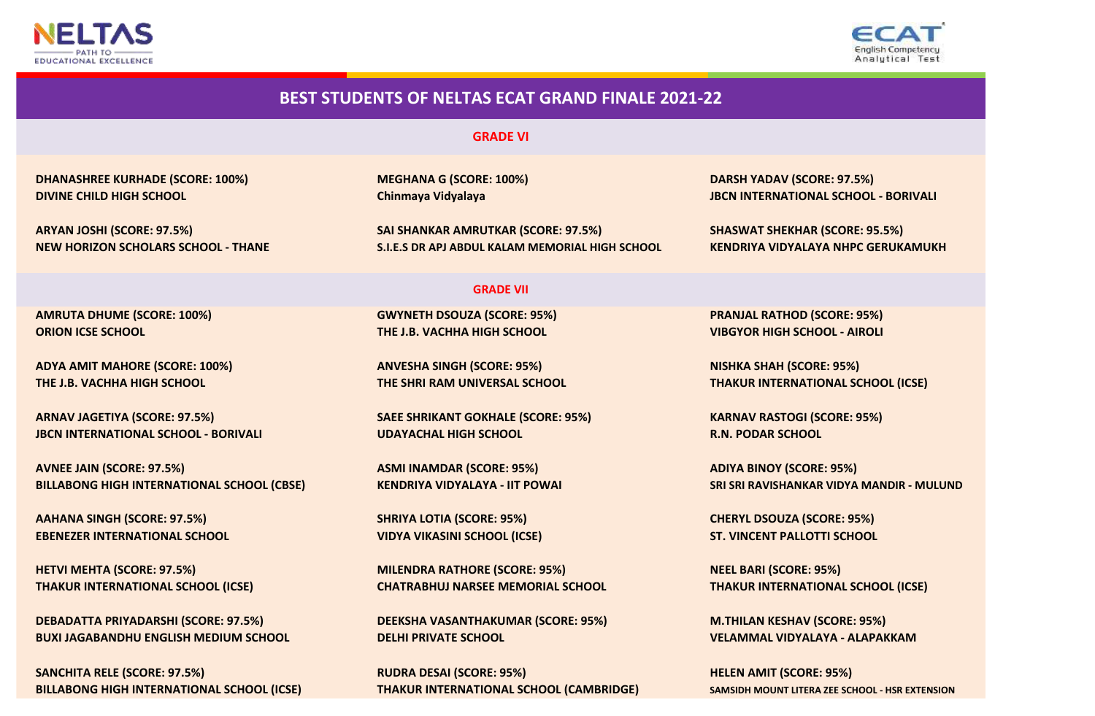



# **DIVINE CHILD HIGH SCHOOL Chinmaya Vidyalaya Chinmaya Vidyalaya JBCN INTERNATIONAL SCHOOL - BORIVALI BEST STUDENTS OF NELTAS ECAT GRAND FINALE 2021-22 GRADE VI DHANASHREE KURHADE (SCORE: 100%) MEGHANA G (SCORE: 100%) DARSH YADAV (SCORE: 97.5%) ARYAN JOSHI (SCORE: 97.5%) SAI SHANKAR AMRUTKAR (SCORE: 97.5%) SHASWAT SHEKHAR (SCORE: 95.5%) GRADE VII NEW HORIZON SCHOLARS SCHOOL - THANE S.I.E.S DR APJ ABDUL KALAM MEMORIAL HIGH SCHOOL KENDRIYA VIDYALAYA NHPC GERUKAMUKH AMRUTA DHUME (SCORE: 100%) GWYNETH DSOUZA (SCORE: 95%) PRANJAL RATHOD (SCORE: 95%) ORION ICSE SCHOOL THE J.B. VACHHA HIGH SCHOOL VIBGYOR HIGH SCHOOL - AIROLI ADYA AMIT MAHORE (SCORE: 100%) ANVESHA SINGH (SCORE: 95%) NISHKA SHAH (SCORE: 95%) THE J.B. VACHHA HIGH SCHOOL THE SHRI RAM UNIVERSAL SCHOOL THAKUR INTERNATIONAL SCHOOL (ICSE) ARNAV JAGETIYA (SCORE: 97.5%) SAEE SHRIKANT GOKHALE (SCORE: 95%) KARNAV RASTOGI (SCORE: 95%) JBCN INTERNATIONAL SCHOOL - BORIVALI UDAYACHAL HIGH SCHOOL R.N. PODAR SCHOOL AVNEE JAIN (SCORE: 97.5%) ASMI INAMDAR (SCORE: 95%) ADIYA BINOY (SCORE: 95%) BILLABONG HIGH INTERNATIONAL SCHOOL (CBSE) KENDRIYA VIDYALAYA - IIT POWAI SRI SRI RAVISHANKAR VIDYA MANDIR - MULUND AAHANA SINGH (SCORE: 97.5%) SHRIYA LOTIA (SCORE: 95%) CHERYL DSOUZA (SCORE: 95%) EBENEZER INTERNATIONAL SCHOOL VIDYA VIKASINI SCHOOL (ICSE) ST. VINCENT PALLOTTI SCHOOL HETVI MEHTA (SCORE: 97.5%) MILENDRA RATHORE (SCORE: 95%) NEEL BARI (SCORE: 95%) THAKUR INTERNATIONAL SCHOOL (ICSE) CHATRABHUJ NARSEE MEMORIAL SCHOOL THAKUR INTERNATIONAL SCHOOL (ICSE) DEBADATTA PRIYADARSHI (SCORE: 97.5%) DEEKSHA VASANTHAKUMAR (SCORE: 95%) M.THILAN KESHAV (SCORE: 95%) BUXI JAGABANDHU ENGLISH MEDIUM SCHOOL DELHI PRIVATE SCHOOL VELAMMAL VIDYALAYA - ALAPAKKAM**

**SANCHITA RELE (SCORE: 97.5%) BILLABONG HIGH INTERNATIONAL SCHOOL (ICSE)**

**RUDRA DESAI (SCORE: 95%) THAKUR INTERNATIONAL SCHOOL (CAMBRIDGE)**

**HELEN AMIT (SCORE: 95%) SAMSIDH MOUNT LITERA ZEE SCHOOL - HSR EXTENSION**